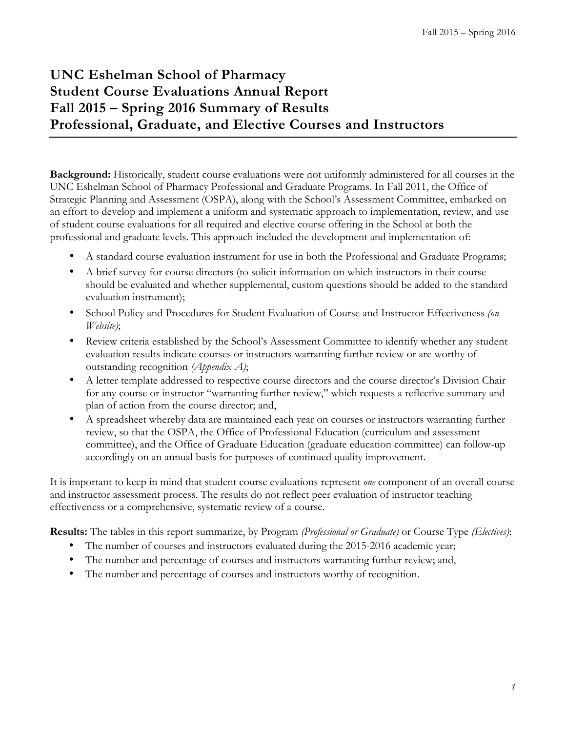# **UNC Eshelman School of Pharmacy Student Course Evaluations Annual Report Fall 2015 – Spring 2016 Summary of Results Professional, Graduate, and Elective Courses and Instructors**

**Background:** Historically, student course evaluations were not uniformly administered for all courses in the UNC Eshelman School of Pharmacy Professional and Graduate Programs. In Fall 2011, the Office of Strategic Planning and Assessment (OSPA), along with the School's Assessment Committee, embarked on an effort to develop and implement a uniform and systematic approach to implementation, review, and use of student course evaluations for all required and elective course offering in the School at both the professional and graduate levels. This approach included the development and implementation of:

- A standard course evaluation instrument for use in both the Professional and Graduate Programs;
- A brief survey for course directors (to solicit information on which instructors in their course should be evaluated and whether supplemental, custom questions should be added to the standard evaluation instrument);
- School Policy and Procedures for Student Evaluation of Course and Instructor Effectiveness *(on Website)*;
- Review criteria established by the School's Assessment Committee to identify whether any student evaluation results indicate courses or instructors warranting further review or are worthy of outstanding recognition *(Appendix A)*;
- A letter template addressed to respective course directors and the course director's Division Chair for any course or instructor "warranting further review," which requests a reflective summary and plan of action from the course director; and,
- A spreadsheet whereby data are maintained each year on courses or instructors warranting further review, so that the OSPA, the Office of Professional Education (curriculum and assessment committee), and the Office of Graduate Education (graduate education committee) can follow-up accordingly on an annual basis for purposes of continued quality improvement.

It is important to keep in mind that student course evaluations represent *one* component of an overall course and instructor assessment process. The results do not reflect peer evaluation of instructor teaching effectiveness or a comprehensive, systematic review of a course.

**Results:** The tables in this report summarize, by Program *(Professional or Graduate)* or Course Type *(Electives)*:

- The number of courses and instructors evaluated during the 2015-2016 academic year;
- The number and percentage of courses and instructors warranting further review; and,
- The number and percentage of courses and instructors worthy of recognition.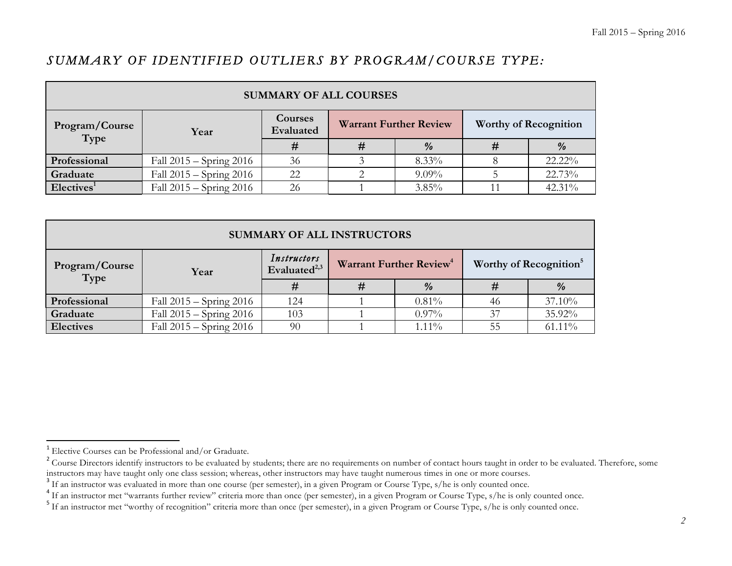# *SUMMARY OF IDENTIFIED OUTLIERS BY PROGRAM/COURSE TYPE:*

| <b>SUMMARY OF ALL COURSES</b> |                             |                      |  |                               |                              |        |  |  |  |
|-------------------------------|-----------------------------|----------------------|--|-------------------------------|------------------------------|--------|--|--|--|
| Program/Course<br>Type        | Year                        | Courses<br>Evaluated |  | <b>Warrant Further Review</b> | <b>Worthy of Recognition</b> |        |  |  |  |
|                               |                             | #                    |  | $\%$                          |                              | $\%$   |  |  |  |
| Professional                  | Fall $2015 -$ Spring $2016$ | 36                   |  | $8.33\%$                      |                              | 22.22% |  |  |  |
| Graduate                      | Fall $2015 -$ Spring $2016$ | 22                   |  | $9.09\%$                      |                              | 22.73% |  |  |  |
| Electives <sup>1</sup>        | Fall $2015 -$ Spring $2016$ | 26                   |  | $3.85\%$                      |                              | 42.31% |  |  |  |

| <b>SUMMARY OF ALL INSTRUCTORS</b> |                             |                                         |  |                                     |                                    |               |  |  |
|-----------------------------------|-----------------------------|-----------------------------------------|--|-------------------------------------|------------------------------------|---------------|--|--|
| Program/Course<br>Type            | Year                        | Instructors<br>Evaluated <sup>2,3</sup> |  | Warrant Further Review <sup>4</sup> | Worthy of Recognition <sup>5</sup> |               |  |  |
|                                   |                             | #                                       |  | $\frac{9}{6}$                       |                                    | $\frac{9}{6}$ |  |  |
| Professional                      | Fall $2015 -$ Spring $2016$ | 124                                     |  | $0.81\%$                            | 46                                 | 37.10%        |  |  |
| Graduate                          | Fall $2015 -$ Spring $2016$ | 103                                     |  | $0.97\%$                            | 37                                 | 35.92%        |  |  |
| <b>Electives</b>                  | Fall $2015 -$ Spring $2016$ | 90                                      |  | $1.11\%$                            | 55                                 | $61.11\%$     |  |  |

<sup>&</sup>lt;sup>1</sup> Elective Courses can be Professional and/or Graduate.

<sup>&</sup>lt;sup>2</sup> Course Directors identify instructors to be evaluated by students; there are no requirements on number of contact hours taught in order to be evaluated. Therefore, some instructors may have taught only one class sessio

<sup>&</sup>lt;sup>3</sup> If an instructor was evaluated in more than one course (per semester), in a given Program or Course Type, s/he is only counted once.<br><sup>4</sup> If an instructor met "warrants further review" criteria more than once (per semes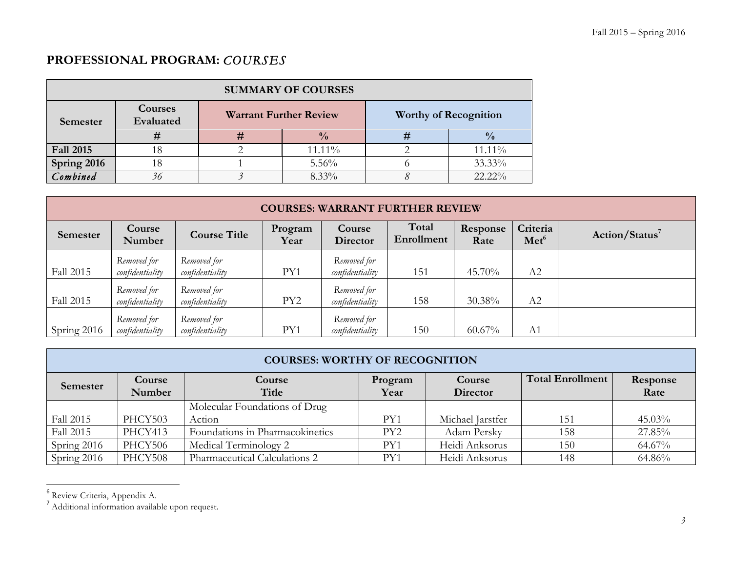# **PROFESSIONAL PROGRAM:** *COURSES*

| <b>SUMMARY OF COURSES</b> |                      |   |                               |                              |               |  |  |  |  |
|---------------------------|----------------------|---|-------------------------------|------------------------------|---------------|--|--|--|--|
| Semester                  | Courses<br>Evaluated |   | <b>Warrant Further Review</b> | <b>Worthy of Recognition</b> |               |  |  |  |  |
|                           | #                    | # | $\frac{0}{0}$                 | #                            | $\frac{0}{0}$ |  |  |  |  |
| <b>Fall 2015</b>          |                      |   | 11.11%                        |                              | 11.11%        |  |  |  |  |
| Spring 2016               |                      |   | 5.56%                         |                              | 33.33%        |  |  |  |  |
| Combined                  |                      |   | 8.33%                         |                              | 22.22%        |  |  |  |  |

| <b>COURSES: WARRANT FURTHER REVIEW</b> |                                |                                |                 |                                |                     |                  |                              |                            |  |
|----------------------------------------|--------------------------------|--------------------------------|-----------------|--------------------------------|---------------------|------------------|------------------------------|----------------------------|--|
| Semester                               | Course<br>Number               | <b>Course Title</b>            | Program<br>Year | <b>Course</b><br>Director      | Total<br>Enrollment | Response<br>Rate | Criteria<br>Met <sup>6</sup> | Action/Status <sup>7</sup> |  |
| <b>Fall 2015</b>                       | Removed for<br>confidentiality | Removed for<br>confidentiality | PY1             | Removed for<br>confidentiality | 151                 | 45.70%           | A2                           |                            |  |
| Fall 2015                              | Removed for<br>confidentiality | Removed for<br>confidentiality | PY <sub>2</sub> | Removed for<br>confidentiality | 158                 | 30.38%           | A2                           |                            |  |
| Spring 2016                            | Removed for<br>confidentiality | Removed for<br>confidentiality | PY1             | Removed for<br>confidentiality | 150                 | $60.67\%$        | A <sub>1</sub>               |                            |  |

|                  | <b>COURSES: WORTHY OF RECOGNITION</b> |                                 |                 |                    |                         |                  |  |  |  |  |
|------------------|---------------------------------------|---------------------------------|-----------------|--------------------|-------------------------|------------------|--|--|--|--|
| Semester         | Course<br>Number                      | Course<br>Title                 | Program<br>Year | Course<br>Director | <b>Total Enrollment</b> | Response<br>Rate |  |  |  |  |
|                  |                                       | Molecular Foundations of Drug   |                 |                    |                         |                  |  |  |  |  |
| <b>Fall 2015</b> | PHCY503                               | Action                          | PY1             | Michael Jarstfer   | 151                     | $45.03\%$        |  |  |  |  |
| Fall 2015        | PHCY413                               | Foundations in Pharmacokinetics | PY <sub>2</sub> | Adam Persky        | 158                     | 27.85%           |  |  |  |  |
| Spring 2016      | PHCY506                               | Medical Terminology 2           | PY1             | Heidi Anksorus     | 150                     | 64.67%           |  |  |  |  |
| Spring 2016      | PHCY508                               | Pharmaceutical Calculations 2   | PY1             | Heidi Anksorus     | 148                     | 64.86%           |  |  |  |  |

<u> 1989 - Johann Stein, markin film yn y breninn y breninn y breninn y breninn y breninn y breninn y breninn y b</u>

 $^6$  Review Criteria, Appendix A.<br>7 Additional information available upon request.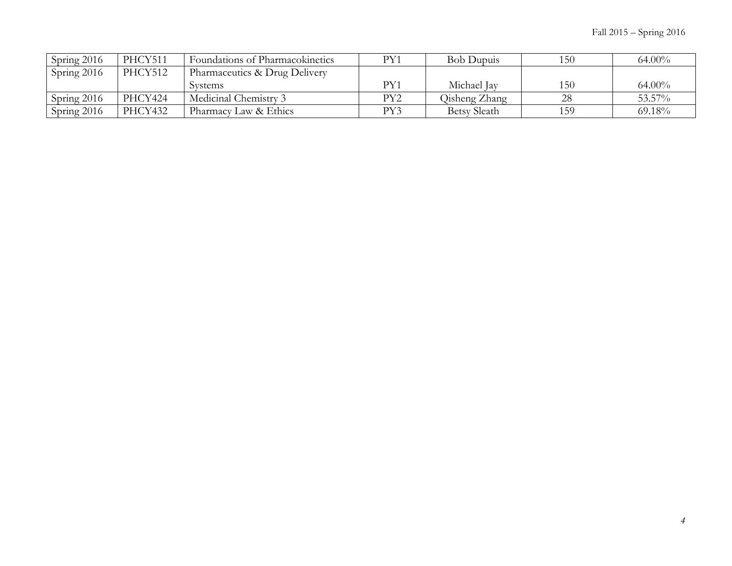| Spring 2016   | PHCY511 | Foundations of Pharmacokinetics | PY1 | <b>Bob Dupuis</b>   | 150 | $64.00\%$ |
|---------------|---------|---------------------------------|-----|---------------------|-----|-----------|
| Spring 2016   | PHCY512 | Pharmaceutics & Drug Delivery   |     |                     |     |           |
|               |         | Systems                         | PY1 | Michael Jay         | 150 | $64.00\%$ |
| Spring $2016$ | PHCY424 | Medicinal Chemistry 3           | PY2 | Oisheng Zhang       | 28  | 53.57%    |
| Spring 2016   | PHCY432 | Pharmacy Law & Ethics           | PY3 | <b>Betsy Sleath</b> | 159 | 69.18%    |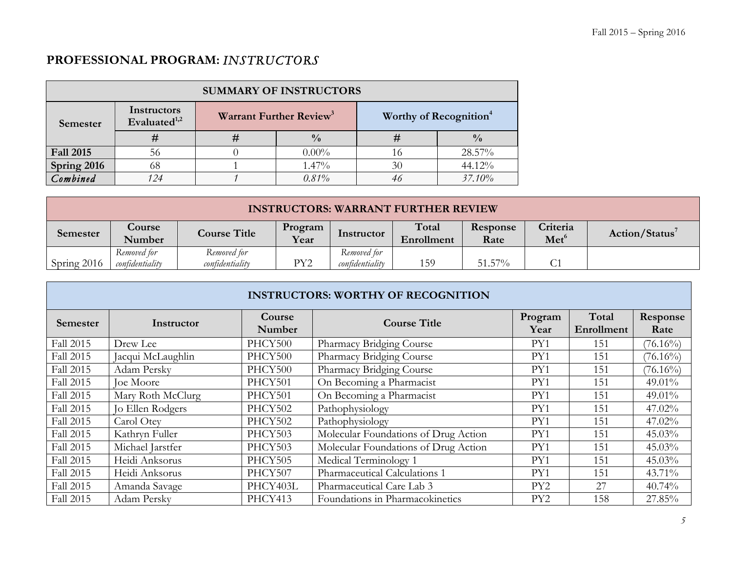# **PROFESSIONAL PROGRAM:** *INSTRUCTORS*

| <b>SUMMARY OF INSTRUCTORS</b> |                                         |                                     |               |                                    |             |  |  |  |
|-------------------------------|-----------------------------------------|-------------------------------------|---------------|------------------------------------|-------------|--|--|--|
| Semester                      | Instructors<br>Evaluated <sup>1,2</sup> | Warrant Further Review <sup>3</sup> |               | Worthy of Recognition <sup>4</sup> |             |  |  |  |
|                               |                                         |                                     | $\frac{0}{0}$ | #                                  | $^{0}/_{0}$ |  |  |  |
| <b>Fall 2015</b>              | 56                                      |                                     | $0.00\%$      | 16                                 | 28.57%      |  |  |  |
| Spring 2016                   | 68                                      |                                     | $1.47\%$      | 30                                 | 44.12%      |  |  |  |
| Combined                      | 124                                     |                                     | 0.81%         |                                    | 37.10%      |  |  |  |

| <b>INSTRUCTORS: WARRANT FURTHER REVIEW</b> |                                                                                                                                                                                          |                                |     |                                |     |           |  |  |
|--------------------------------------------|------------------------------------------------------------------------------------------------------------------------------------------------------------------------------------------|--------------------------------|-----|--------------------------------|-----|-----------|--|--|
| <b>Semester</b>                            | Total<br>Criteria<br>Response<br><b>Course</b><br>Program<br><b>Course Title</b><br>Action/Status <sup>7</sup><br>Instructor<br>Met <sup>6</sup><br>Year<br>Number<br>Enrollment<br>Rate |                                |     |                                |     |           |  |  |
| Spring 2016                                | Removed for<br>confidentiality                                                                                                                                                           | Removed for<br>confidentiality | PY2 | Removed for<br>confidentiality | 159 | $51.57\%$ |  |  |

|           | <b>INSTRUCTORS: WORTHY OF RECOGNITION</b> |                  |                                      |                 |                     |                  |  |  |  |  |
|-----------|-------------------------------------------|------------------|--------------------------------------|-----------------|---------------------|------------------|--|--|--|--|
| Semester  | Instructor                                | Course<br>Number | <b>Course Title</b>                  | Program<br>Year | Total<br>Enrollment | Response<br>Rate |  |  |  |  |
| Fall 2015 | Drew Lee                                  | PHCY500          | Pharmacy Bridging Course             | PY1             | 151                 | $(76.16\%)$      |  |  |  |  |
| Fall 2015 | Jacqui McLaughlin                         | PHCY500          | Pharmacy Bridging Course             | PY1             | 151                 | $(76.16\%)$      |  |  |  |  |
| Fall 2015 | Adam Persky                               | PHCY500          | Pharmacy Bridging Course             | PY1             | 151                 | $(76.16\%)$      |  |  |  |  |
| Fall 2015 | Joe Moore                                 | PHCY501          | On Becoming a Pharmacist             | PY1             | 151                 | 49.01%           |  |  |  |  |
| Fall 2015 | Mary Roth McClurg                         | PHCY501          | On Becoming a Pharmacist             | PY1             | 151                 | $49.01\%$        |  |  |  |  |
| Fall 2015 | Jo Ellen Rodgers                          | PHCY502          | Pathophysiology                      | PY1             | 151                 | 47.02%           |  |  |  |  |
| Fall 2015 | Carol Otev                                | PHCY502          | Pathophysiology                      | PY1             | 151                 | 47.02%           |  |  |  |  |
| Fall 2015 | Kathryn Fuller                            | PHCY503          | Molecular Foundations of Drug Action | PY1             | 151                 | $45.03\%$        |  |  |  |  |
| Fall 2015 | Michael Jarstfer                          | PHCY503          | Molecular Foundations of Drug Action | PY1             | 151                 | 45.03%           |  |  |  |  |
| Fall 2015 | Heidi Anksorus                            | PHCY505          | Medical Terminology 1                | PY1             | 151                 | $45.03\%$        |  |  |  |  |
| Fall 2015 | Heidi Anksorus                            | PHCY507          | Pharmaceutical Calculations 1        | PY1             | 151                 | 43.71%           |  |  |  |  |
| Fall 2015 | Amanda Savage                             | PHCY403L         | Pharmaceutical Care Lab 3            | PY <sub>2</sub> | 27                  | 40.74%           |  |  |  |  |
| Fall 2015 | Adam Persky                               | PHCY413          | Foundations in Pharmacokinetics      | PY <sub>2</sub> | 158                 | 27.85%           |  |  |  |  |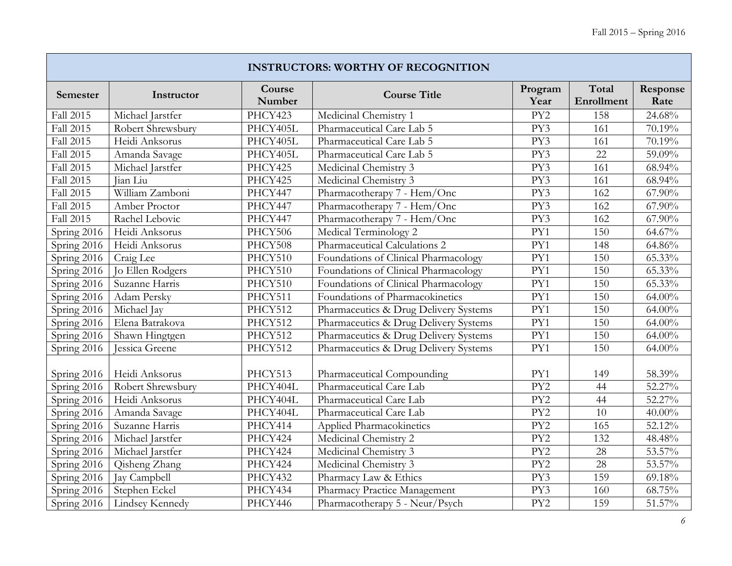J

|             | <b>INSTRUCTORS: WORTHY OF RECOGNITION</b> |                  |                                       |                  |                     |                  |  |  |  |  |
|-------------|-------------------------------------------|------------------|---------------------------------------|------------------|---------------------|------------------|--|--|--|--|
| Semester    | Instructor                                | Course<br>Number | <b>Course Title</b>                   | Program<br>Year  | Total<br>Enrollment | Response<br>Rate |  |  |  |  |
| Fall 2015   | Michael Jarstfer                          | PHCY423          | Medicinal Chemistry 1                 | PY <sub>2</sub>  | 158                 | 24.68%           |  |  |  |  |
| Fall 2015   | Robert Shrewsbury                         | PHCY405L         | Pharmaceutical Care Lab 5             | PY3              | 161                 | 70.19%           |  |  |  |  |
| Fall 2015   | Heidi Anksorus                            | PHCY405L         | Pharmaceutical Care Lab 5             | PY3              | 161                 | 70.19%           |  |  |  |  |
| Fall 2015   | Amanda Savage                             | PHCY405L         | Pharmaceutical Care Lab 5             | PY3              | 22                  | 59.09%           |  |  |  |  |
| Fall 2015   | Michael Jarstfer                          | PHCY425          | Medicinal Chemistry 3                 | PY3              | 161                 | 68.94%           |  |  |  |  |
| Fall 2015   | Jian Liu                                  | PHCY425          | Medicinal Chemistry 3                 | PY3              | 161                 | 68.94%           |  |  |  |  |
| Fall 2015   | William Zamboni                           | PHCY447          | Pharmacotherapy 7 - Hem/Onc           | PY3              | 162                 | 67.90%           |  |  |  |  |
| Fall 2015   | Amber Proctor                             | PHCY447          | Pharmacotherapy 7 - Hem/Onc           | PY3              | 162                 | 67.90%           |  |  |  |  |
| Fall 2015   | Rachel Lebovic                            | PHCY447          | Pharmacotherapy 7 - Hem/Onc           | PY3              | 162                 | $67.90\%$        |  |  |  |  |
| Spring 2016 | Heidi Anksorus                            | PHCY506          | Medical Terminology 2                 | PY1              | 150                 | 64.67%           |  |  |  |  |
| Spring 2016 | Heidi Anksorus                            | PHCY508          | Pharmaceutical Calculations 2         | PY1              | 148                 | 64.86%           |  |  |  |  |
| Spring 2016 | Craig Lee                                 | PHCY510          | Foundations of Clinical Pharmacology  | PY1              | 150                 | $65.33\%$        |  |  |  |  |
| Spring 2016 | Jo Ellen Rodgers                          | PHCY510          | Foundations of Clinical Pharmacology  | PY1              | 150                 | 65.33%           |  |  |  |  |
| Spring 2016 | Suzanne Harris                            | PHCY510          | Foundations of Clinical Pharmacology  | PY1              | 150                 | 65.33%           |  |  |  |  |
| Spring 2016 | Adam Persky                               | PHCY511          | Foundations of Pharmacokinetics       | PY1              | 150                 | 64.00%           |  |  |  |  |
| Spring 2016 | Michael Jay                               | PHCY512          | Pharmaceutics & Drug Delivery Systems | PY1              | 150                 | $64.00\%$        |  |  |  |  |
| Spring 2016 | Elena Batrakova                           | PHCY512          | Pharmaceutics & Drug Delivery Systems | PY1              | 150                 | 64.00%           |  |  |  |  |
| Spring 2016 | Shawn Hingtgen                            | PHCY512          | Pharmaceutics & Drug Delivery Systems | PY1              | 150                 | $64.00\%$        |  |  |  |  |
| Spring 2016 | Jessica Greene                            | PHCY512          | Pharmaceutics & Drug Delivery Systems | PY1              | 150                 | $64.00\%$        |  |  |  |  |
| Spring 2016 | Heidi Anksorus                            | PHCY513          | Pharmaceutical Compounding            | PY1              | 149                 | 58.39%           |  |  |  |  |
| Spring 2016 | Robert Shrewsbury                         | PHCY404L         | Pharmaceutical Care Lab               | $\overline{PY2}$ | 44                  | 52.27%           |  |  |  |  |
| Spring 2016 | Heidi Anksorus                            | PHCY404L         | Pharmaceutical Care Lab               | PY <sub>2</sub>  | 44                  | 52.27%           |  |  |  |  |
| Spring 2016 | Amanda Savage                             | PHCY404L         | Pharmaceutical Care Lab               | PY <sub>2</sub>  | 10                  | $40.00\%$        |  |  |  |  |
| Spring 2016 | Suzanne Harris                            | PHCY414          | Applied Pharmacokinetics              | PY <sub>2</sub>  | 165                 | 52.12%           |  |  |  |  |
| Spring 2016 | Michael Jarstfer                          | PHCY424          | Medicinal Chemistry 2                 | PY <sub>2</sub>  | 132                 | 48.48%           |  |  |  |  |
| Spring 2016 | Michael Jarstfer                          | PHCY424          | Medicinal Chemistry 3                 | PY2              | 28                  | $53.57\%$        |  |  |  |  |
| Spring 2016 | Qisheng Zhang                             | PHCY424          | Medicinal Chemistry 3                 | PY <sub>2</sub>  | 28                  | 53.57%           |  |  |  |  |
| Spring 2016 | Jay Campbell                              | PHCY432          | Pharmacy Law & Ethics                 | PY3              | 159                 | 69.18%           |  |  |  |  |
| Spring 2016 | Stephen Eckel                             | PHCY434          | Pharmacy Practice Management          | PY3              | 160                 | 68.75%           |  |  |  |  |
| Spring 2016 | Lindsey Kennedy                           | PHCY446          | Pharmacotherapy 5 - Neur/Psych        | PY2              | 159                 | 51.57%           |  |  |  |  |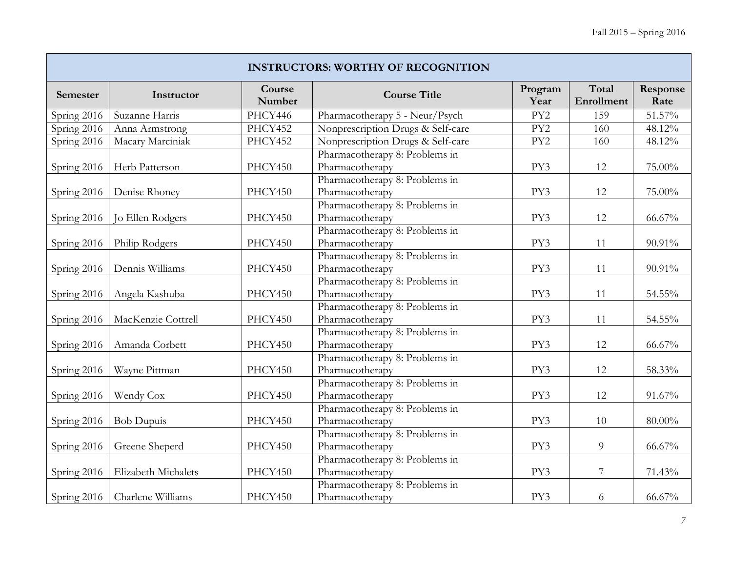| <b>INSTRUCTORS: WORTHY OF RECOGNITION</b> |                     |                  |                                                   |                 |                     |                  |  |  |  |  |
|-------------------------------------------|---------------------|------------------|---------------------------------------------------|-----------------|---------------------|------------------|--|--|--|--|
| Semester                                  | Instructor          | Course<br>Number | <b>Course Title</b>                               | Program<br>Year | Total<br>Enrollment | Response<br>Rate |  |  |  |  |
| Spring 2016                               | Suzanne Harris      | PHCY446          | Pharmacotherapy 5 - Neur/Psych                    | PY2             | 159                 | 51.57%           |  |  |  |  |
| Spring 2016                               | Anna Armstrong      | PHCY452          | Nonprescription Drugs & Self-care                 | PY <sub>2</sub> | 160                 | 48.12%           |  |  |  |  |
| Spring 2016                               | Macary Marciniak    | PHCY452          | Nonprescription Drugs & Self-care                 | PY <sub>2</sub> | 160                 | 48.12%           |  |  |  |  |
| Spring 2016                               | Herb Patterson      | PHCY450          | Pharmacotherapy 8: Problems in<br>Pharmacotherapy | PY3             | 12                  | 75.00%           |  |  |  |  |
| Spring 2016                               | Denise Rhoney       | PHCY450          | Pharmacotherapy 8: Problems in<br>Pharmacotherapy | PY3             | 12                  | 75.00%           |  |  |  |  |
| Spring 2016                               | Jo Ellen Rodgers    | PHCY450          | Pharmacotherapy 8: Problems in<br>Pharmacotherapy | PY3             | 12                  | 66.67%           |  |  |  |  |
| Spring 2016                               | Philip Rodgers      | PHCY450          | Pharmacotherapy 8: Problems in<br>Pharmacotherapy | PY3             | 11                  | 90.91%           |  |  |  |  |
| Spring 2016                               | Dennis Williams     | PHCY450          | Pharmacotherapy 8: Problems in<br>Pharmacotherapy | PY3             | 11                  | 90.91%           |  |  |  |  |
| Spring 2016                               | Angela Kashuba      | PHCY450          | Pharmacotherapy 8: Problems in<br>Pharmacotherapy | PY3             | 11                  | 54.55%           |  |  |  |  |
| Spring 2016                               | MacKenzie Cottrell  | PHCY450          | Pharmacotherapy 8: Problems in<br>Pharmacotherapy | PY3             | 11                  | $54.55\%$        |  |  |  |  |
| Spring 2016                               | Amanda Corbett      | PHCY450          | Pharmacotherapy 8: Problems in<br>Pharmacotherapy | PY3             | 12                  | $66.67\%$        |  |  |  |  |
| Spring 2016                               | Wayne Pittman       | PHCY450          | Pharmacotherapy 8: Problems in<br>Pharmacotherapy | PY3             | 12                  | 58.33%           |  |  |  |  |
| Spring 2016                               | Wendy Cox           | PHCY450          | Pharmacotherapy 8: Problems in<br>Pharmacotherapy | PY3             | 12                  | 91.67%           |  |  |  |  |
| Spring 2016                               | <b>Bob Dupuis</b>   | PHCY450          | Pharmacotherapy 8: Problems in<br>Pharmacotherapy | PY3             | 10                  | $80.00\%$        |  |  |  |  |
| Spring 2016                               | Greene Sheperd      | PHCY450          | Pharmacotherapy 8: Problems in<br>Pharmacotherapy | PY3             | $\overline{9}$      | 66.67%           |  |  |  |  |
| Spring 2016                               | Elizabeth Michalets | PHCY450          | Pharmacotherapy 8: Problems in<br>Pharmacotherapy | PY3             | $7\phantom{.}$      | 71.43%           |  |  |  |  |
| Spring $2016$                             | Charlene Williams   | PHCY450          | Pharmacotherapy 8: Problems in<br>Pharmacotherapy | PY3             | 6                   | $66.67\%$        |  |  |  |  |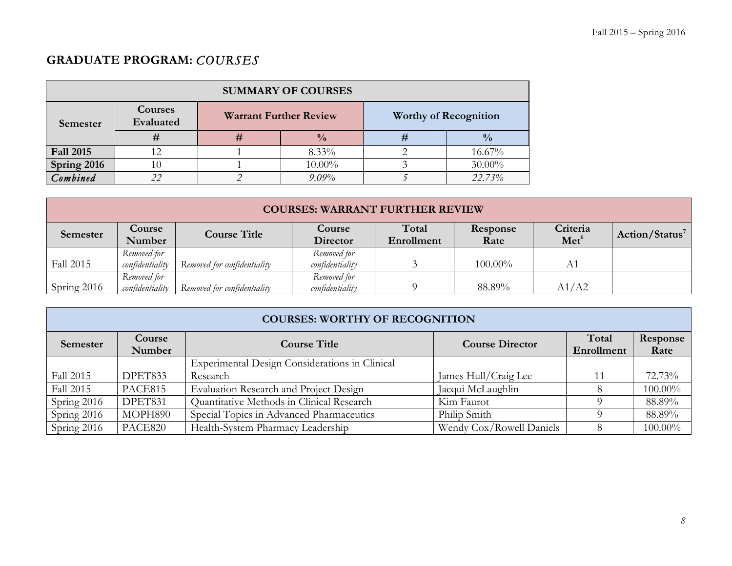# **GRADUATE PROGRAM:** *COURSES*

| <b>SUMMARY OF COURSES</b> |                      |   |                               |                              |               |  |  |  |  |
|---------------------------|----------------------|---|-------------------------------|------------------------------|---------------|--|--|--|--|
| Semester                  | Courses<br>Evaluated |   | <b>Warrant Further Review</b> | <b>Worthy of Recognition</b> |               |  |  |  |  |
|                           | #                    | # | $\frac{0}{0}$                 | #                            | $\frac{0}{0}$ |  |  |  |  |
| <b>Fall 2015</b>          |                      |   | $8.33\%$                      |                              | 16.67%        |  |  |  |  |
| Spring 2016               |                      |   | $10.00\%$                     |                              | $30.00\%$     |  |  |  |  |
| Combined                  |                      |   | $9.09\%$                      |                              | 22.73%        |  |  |  |  |

|             | <b>COURSES: WARRANT FURTHER REVIEW</b> |                             |                                |                     |                  |                              |                            |  |
|-------------|----------------------------------------|-----------------------------|--------------------------------|---------------------|------------------|------------------------------|----------------------------|--|
| Semester    | <b>Course</b><br>Number                | <b>Course Title</b>         | Course<br>Director             | Total<br>Enrollment | Response<br>Rate | Criteria<br>Met <sup>6</sup> | Action/Status <sup>7</sup> |  |
| Fall 2015   | Removed for<br>confidentiality         | Removed for confidentiality | Removed for<br>confidentiality |                     | $100.00\%$       | A1                           |                            |  |
| Spring 2016 | Removed for<br>confidentiality         | Removed for confidentiality | Removed for<br>confidentiality |                     | 88.89%           | A1/A2                        |                            |  |

|             | <b>COURSES: WORTHY OF RECOGNITION</b> |                                                |                          |                     |                  |  |  |  |
|-------------|---------------------------------------|------------------------------------------------|--------------------------|---------------------|------------------|--|--|--|
| Semester    | Course<br>Number                      | <b>Course Title</b>                            | <b>Course Director</b>   | Total<br>Enrollment | Response<br>Rate |  |  |  |
|             |                                       | Experimental Design Considerations in Clinical |                          |                     |                  |  |  |  |
| Fall 2015   | DPET833                               | Research                                       | James Hull/Craig Lee     | 11                  | 72.73%           |  |  |  |
| Fall 2015   | PACE815                               | Evaluation Research and Project Design         | Jacqui McLaughlin        |                     | 100.00%          |  |  |  |
| Spring 2016 | DPET831                               | Quantitative Methods in Clinical Research      | Kim Faurot               |                     | 88.89%           |  |  |  |
| Spring 2016 | MOPH890                               | Special Topics in Advanced Pharmaceutics       | Philip Smith             |                     | 88.89%           |  |  |  |
| Spring 2016 | PACE820                               | Health-System Pharmacy Leadership              | Wendy Cox/Rowell Daniels |                     | 100.00%          |  |  |  |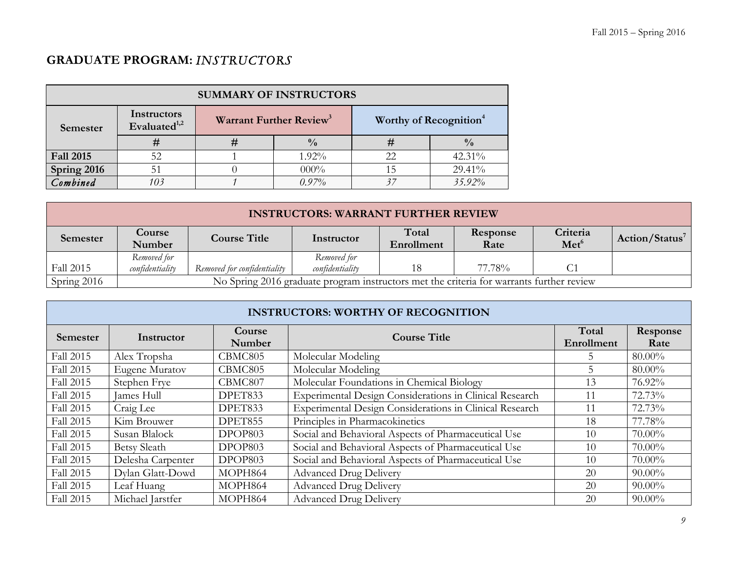# **GRADUATE PROGRAM:** *INSTRUCTORS*

| <b>SUMMARY OF INSTRUCTORS</b> |                                         |   |                                     |                                    |               |  |  |
|-------------------------------|-----------------------------------------|---|-------------------------------------|------------------------------------|---------------|--|--|
| Semester                      | Instructors<br>Evaluated <sup>1,2</sup> |   | Warrant Further Review <sup>3</sup> | Worthy of Recognition <sup>4</sup> |               |  |  |
|                               | #                                       | # | $\frac{0}{0}$                       | #                                  | $\frac{0}{0}$ |  |  |
| <b>Fall 2015</b>              | 52                                      |   | $1.92\%$                            | 22                                 | 42.31%        |  |  |
| Spring 2016                   |                                         |   | $000\%$                             | 15                                 | 29.41%        |  |  |
| Combined                      | 10 <sub>3</sub>                         |   | 0.97%                               | 37                                 | 35.92%        |  |  |

| <b>INSTRUCTORS: WARRANT FURTHER REVIEW</b> |                                |                             |                                                                                          |                     |                  |                              |                            |
|--------------------------------------------|--------------------------------|-----------------------------|------------------------------------------------------------------------------------------|---------------------|------------------|------------------------------|----------------------------|
| Semester                                   | Course<br>Number               | <b>Course Title</b>         | Instructor                                                                               | Total<br>Enrollment | Response<br>Rate | Criteria<br>Met <sup>6</sup> | Action/Status <sup>7</sup> |
| Fall 2015                                  | Removed for<br>confidentiality | Removed for confidentiality | Removed for<br>confidentiality                                                           |                     | 77.78%           |                              |                            |
| Spring 2016                                |                                |                             | No Spring 2016 graduate program instructors met the criteria for warrants further review |                     |                  |                              |                            |

|                  | <b>INSTRUCTORS: WORTHY OF RECOGNITION</b> |                  |                                                         |                     |                  |  |  |  |  |
|------------------|-------------------------------------------|------------------|---------------------------------------------------------|---------------------|------------------|--|--|--|--|
| <b>Semester</b>  | Instructor                                | Course<br>Number | <b>Course Title</b>                                     | Total<br>Enrollment | Response<br>Rate |  |  |  |  |
| Fall 2015        | Alex Tropsha                              | CBMC805          | Molecular Modeling                                      | 5.                  | $80.00\%$        |  |  |  |  |
| <b>Fall 2015</b> | Eugene Muratov                            | CBMC805          | Molecular Modeling                                      |                     | 80.00%           |  |  |  |  |
| Fall 2015        | Stephen Frye                              | CBMC807          | Molecular Foundations in Chemical Biology               | 13                  | 76.92%           |  |  |  |  |
| Fall 2015        | James Hull                                | DPET833          | Experimental Design Considerations in Clinical Research | 11                  | 72.73%           |  |  |  |  |
| Fall 2015        | Craig Lee                                 | DPET833          | Experimental Design Considerations in Clinical Research | 11                  | 72.73%           |  |  |  |  |
| Fall 2015        | Kim Brouwer                               | DPET855          | Principles in Pharmacokinetics                          | 18                  | 77.78%           |  |  |  |  |
| Fall 2015        | Susan Blalock                             | DPOP803          | Social and Behavioral Aspects of Pharmaceutical Use     | 10                  | $70.00\%$        |  |  |  |  |
| Fall 2015        | <b>Betsy Sleath</b>                       | DPOP803          | Social and Behavioral Aspects of Pharmaceutical Use     | 10                  | $70.00\%$        |  |  |  |  |
| Fall 2015        | Delesha Carpenter                         | DPOP803          | Social and Behavioral Aspects of Pharmaceutical Use     | 10                  | 70.00%           |  |  |  |  |
| Fall 2015        | Dylan Glatt-Dowd                          | MOPH864          | <b>Advanced Drug Delivery</b>                           | 20                  | $90.00\%$        |  |  |  |  |
| Fall 2015        | Leaf Huang                                | MOPH864          | <b>Advanced Drug Delivery</b>                           | 20                  | $90.00\%$        |  |  |  |  |
| Fall 2015        | Michael Jarstfer                          | MOPH864          | <b>Advanced Drug Delivery</b>                           | 20                  | $90.00\%$        |  |  |  |  |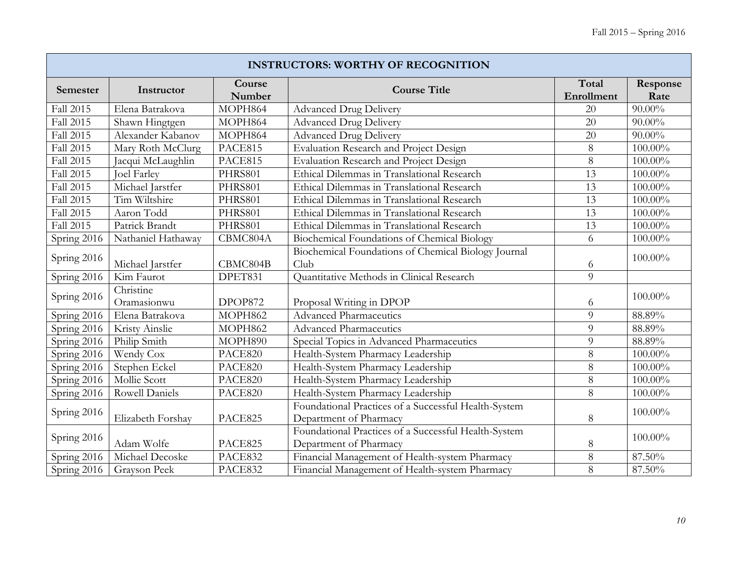| <b>INSTRUCTORS: WORTHY OF RECOGNITION</b> |                          |                  |                                                                                |                     |                  |  |  |
|-------------------------------------------|--------------------------|------------------|--------------------------------------------------------------------------------|---------------------|------------------|--|--|
| Semester                                  | Instructor               | Course<br>Number | <b>Course Title</b>                                                            | Total<br>Enrollment | Response<br>Rate |  |  |
| Fall 2015                                 | Elena Batrakova          | MOPH864          | <b>Advanced Drug Delivery</b>                                                  | 20                  | $90.00\%$        |  |  |
| Fall 2015                                 | Shawn Hingtgen           | MOPH864          | <b>Advanced Drug Delivery</b>                                                  | 20                  | $90.00\%$        |  |  |
| Fall 2015                                 | Alexander Kabanov        | MOPH864          | <b>Advanced Drug Delivery</b>                                                  | 20                  | $90.00\%$        |  |  |
| Fall 2015                                 | Mary Roth McClurg        | PACE815          | Evaluation Research and Project Design                                         | 8                   | 100.00%          |  |  |
| Fall 2015                                 | Jacqui McLaughlin        | PACE815          | Evaluation Research and Project Design                                         | 8                   | 100.00%          |  |  |
| Fall 2015                                 | <b>Joel Farley</b>       | PHRS801          | Ethical Dilemmas in Translational Research                                     | 13                  | 100.00%          |  |  |
| Fall 2015                                 | Michael Jarstfer         | PHRS801          | Ethical Dilemmas in Translational Research                                     | 13                  | 100.00%          |  |  |
| Fall 2015                                 | Tim Wiltshire            | PHRS801          | Ethical Dilemmas in Translational Research                                     | 13                  | 100.00%          |  |  |
| Fall 2015                                 | Aaron Todd               | PHRS801          | Ethical Dilemmas in Translational Research                                     | 13                  | 100.00%          |  |  |
| Fall 2015                                 | Patrick Brandt           | PHRS801          | Ethical Dilemmas in Translational Research                                     | 13                  | 100.00%          |  |  |
| Spring 2016                               | Nathaniel Hathaway       | CBMC804A         | Biochemical Foundations of Chemical Biology                                    | 6                   | $100.00\%$       |  |  |
| Spring 2016                               | Michael Jarstfer         | CBMC804B         | Biochemical Foundations of Chemical Biology Journal<br>Club                    | 6                   | 100.00%          |  |  |
| Spring 2016                               | Kim Faurot               | DPET831          | Quantitative Methods in Clinical Research                                      | 9                   |                  |  |  |
| Spring 2016                               | Christine<br>Oramasionwu | DPOP872          | Proposal Writing in DPOP                                                       | 6                   | 100.00%          |  |  |
| Spring 2016                               | Elena Batrakova          | MOPH862          | <b>Advanced Pharmaceutics</b>                                                  | 9                   | 88.89%           |  |  |
| Spring 2016                               | Kristy Ainslie           | MOPH862          | <b>Advanced Pharmaceutics</b>                                                  | 9                   | 88.89%           |  |  |
| Spring 2016                               | Philip Smith             | MOPH890          | Special Topics in Advanced Pharmaceutics                                       | 9                   | 88.89%           |  |  |
| Spring 2016                               | Wendy Cox                | PACE820          | Health-System Pharmacy Leadership                                              | 8                   | $100.00\%$       |  |  |
| Spring 2016                               | Stephen Eckel            | PACE820          | Health-System Pharmacy Leadership                                              | 8                   | 100.00%          |  |  |
| Spring 2016                               | Mollie Scott             | PACE820          | Health-System Pharmacy Leadership                                              | 8                   | 100.00%          |  |  |
| Spring 2016                               | Rowell Daniels           | PACE820          | Health-System Pharmacy Leadership                                              | 8                   | $100.00\%$       |  |  |
| Spring 2016                               | Elizabeth Forshay        | PACE825          | Foundational Practices of a Successful Health-System<br>Department of Pharmacy | 8                   | 100.00%          |  |  |
| Spring 2016                               | Adam Wolfe               | PACE825          | Foundational Practices of a Successful Health-System<br>Department of Pharmacy | 8                   | 100.00%          |  |  |
| Spring 2016                               | Michael Decoske          | PACE832          | Financial Management of Health-system Pharmacy                                 | 8                   | 87.50%           |  |  |
| Spring 2016                               | Grayson Peek             | PACE832          | Financial Management of Health-system Pharmacy                                 | 8                   | $87.50\%$        |  |  |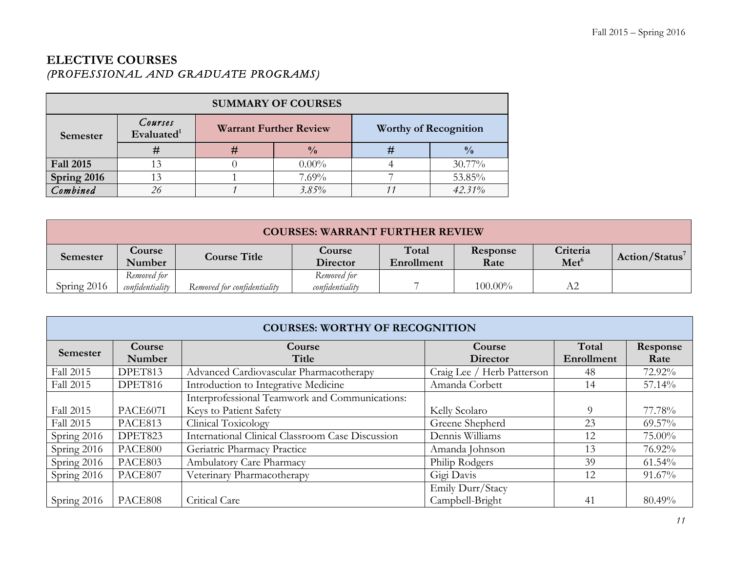# **ELECTIVE COURSES**  *(PROFESSIONAL AND GRADUATE PROGRAMS)*

| <b>SUMMARY OF COURSES</b> |                          |   |                               |   |                              |  |  |
|---------------------------|--------------------------|---|-------------------------------|---|------------------------------|--|--|
| Semester                  | Courses<br>Evaluated $1$ |   | <b>Warrant Further Review</b> |   | <b>Worthy of Recognition</b> |  |  |
|                           | #                        | # | $\frac{0}{0}$                 | # | $\frac{0}{0}$                |  |  |
| <b>Fall 2015</b>          |                          |   | $0.00\%$                      |   | $30.77\%$                    |  |  |
| Spring 2016               |                          |   | $7.69\%$                      |   | 53.85%                       |  |  |
| Combined                  | 26                       |   | $3.85\%$                      |   | 42.31%                       |  |  |

| <b>COURSES: WARRANT FURTHER REVIEW</b> |                         |                             |                           |                     |                  |                              |                            |
|----------------------------------------|-------------------------|-----------------------------|---------------------------|---------------------|------------------|------------------------------|----------------------------|
| Semester                               | <b>Course</b><br>Number | <b>Course Title</b>         | <b>Course</b><br>Director | Total<br>Enrollment | Response<br>Rate | Criteria<br>Met <sup>6</sup> | Action/Status <sup>7</sup> |
|                                        | Removed for             |                             | Removed for               |                     |                  |                              |                            |
| Spring $2016$                          | confidentiality         | Removed for confidentiality | confidentiality           |                     | $100.00\%$       | A2                           |                            |

|                  | <b>COURSES: WORTHY OF RECOGNITION</b> |                                                  |                            |            |           |  |  |  |
|------------------|---------------------------------------|--------------------------------------------------|----------------------------|------------|-----------|--|--|--|
| Semester         | Course                                | Course                                           | Course                     | Total      | Response  |  |  |  |
|                  | Number                                | Title                                            | <b>Director</b>            | Enrollment | Rate      |  |  |  |
| <b>Fall 2015</b> | DPET813                               | Advanced Cardiovascular Pharmacotherapy          | Craig Lee / Herb Patterson | 48         | 72.92%    |  |  |  |
| Fall 2015        | DPET816                               | Introduction to Integrative Medicine             | Amanda Corbett             | 14         | 57.14%    |  |  |  |
|                  |                                       | Interprofessional Teamwork and Communications:   |                            |            |           |  |  |  |
| Fall 2015        | PACE607I                              | Keys to Patient Safety                           | Kelly Scolaro              | $\Omega$   | 77.78%    |  |  |  |
| Fall 2015        | PACE813                               | Clinical Toxicology                              | Greene Shepherd            | 23         | $69.57\%$ |  |  |  |
| Spring 2016      | DPET823                               | International Clinical Classroom Case Discussion | Dennis Williams            | 12         | 75.00%    |  |  |  |
| Spring 2016      | PACE800                               | Geriatric Pharmacy Practice                      | Amanda Johnson             | 13         | 76.92%    |  |  |  |
| Spring 2016      | PACE803                               | <b>Ambulatory Care Pharmacy</b>                  | Philip Rodgers             | 39         | 61.54%    |  |  |  |
| Spring 2016      | PACE807                               | Veterinary Pharmacotherapy                       | Gigi Davis                 | 12         | 91.67%    |  |  |  |
|                  |                                       |                                                  | Emily Durr/Stacy           |            |           |  |  |  |
| Spring 2016      | PACE808                               | Critical Care                                    | Campbell-Bright            | 41         | 80.49%    |  |  |  |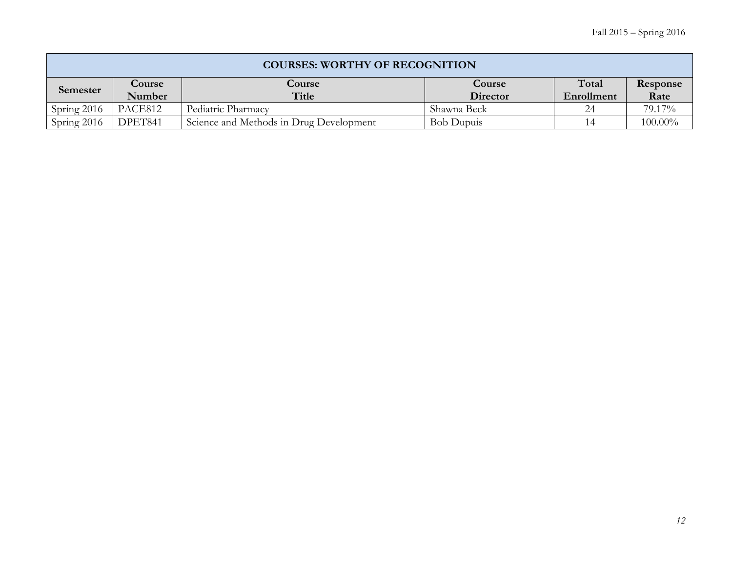|             | <b>COURSES: WORTHY OF RECOGNITION</b> |                                         |                   |            |            |  |  |  |
|-------------|---------------------------------------|-----------------------------------------|-------------------|------------|------------|--|--|--|
| Semester    | Course                                | Course                                  | Course            | Total      | Response   |  |  |  |
|             | Number                                | Title                                   | Director          | Enrollment | Rate       |  |  |  |
| Spring 2016 | PACE812                               | Pediatric Pharmacy                      | Shawna Beck       |            | 79.17%     |  |  |  |
| Spring 2016 | DPET841                               | Science and Methods in Drug Development | <b>Bob Dupuis</b> |            | $100.00\%$ |  |  |  |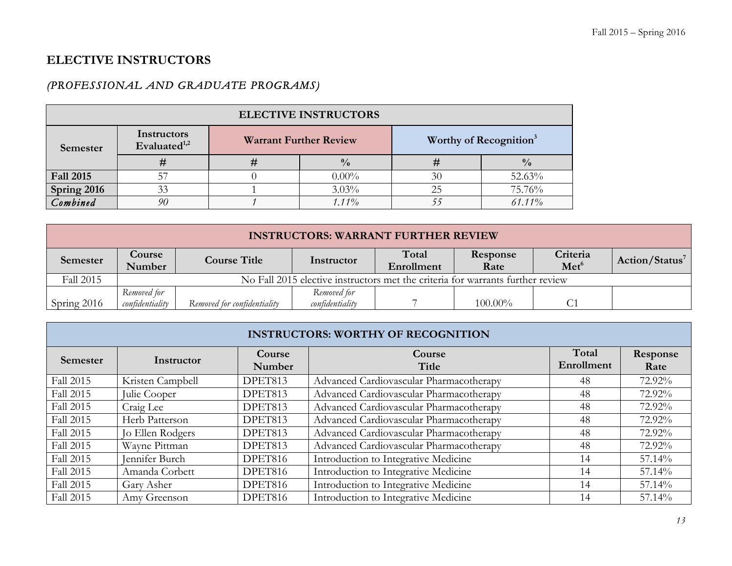# **ELECTIVE INSTRUCTORS**

# *(PROFESSIONAL AND GRADUATE PROGRAMS)*

| <b>ELECTIVE INSTRUCTORS</b> |                                         |                               |               |                                    |               |  |  |
|-----------------------------|-----------------------------------------|-------------------------------|---------------|------------------------------------|---------------|--|--|
| Semester                    | Instructors<br>Evaluated <sup>1,2</sup> | <b>Warrant Further Review</b> |               | Worthy of Recognition <sup>3</sup> |               |  |  |
|                             | #                                       |                               | $\frac{0}{0}$ |                                    | $\frac{0}{0}$ |  |  |
| <b>Fall 2015</b>            | 57                                      |                               | $0.00\%$      | 30                                 | 52.63%        |  |  |
| Spring 2016                 | 33                                      |                               | $3.03\%$      | 25                                 | 75.76%        |  |  |
| Combined                    | 90                                      |                               | $1.11\%$      |                                    | $61.11\%$     |  |  |

| <b>INSTRUCTORS: WARRANT FURTHER REVIEW</b> |                 |                             |                                                                                |            |            |                  |                            |
|--------------------------------------------|-----------------|-----------------------------|--------------------------------------------------------------------------------|------------|------------|------------------|----------------------------|
|                                            | <b>Course</b>   | <b>Course Title</b>         | Instructor                                                                     | Total      | Response   | Criteria         | Action/Status <sup>7</sup> |
| Semester                                   | Number          |                             |                                                                                | Enrollment | Rate       | Met <sup>6</sup> |                            |
| Fall 2015                                  |                 |                             | No Fall 2015 elective instructors met the criteria for warrants further review |            |            |                  |                            |
|                                            | Removed for     |                             | Removed for                                                                    |            |            |                  |                            |
| Spring 2016                                | confidentiality | Removed for confidentiality | confidentiality                                                                |            | $100.00\%$ |                  |                            |

| <b>INSTRUCTORS: WORTHY OF RECOGNITION</b> |                  |                  |                                         |                     |                  |  |  |  |  |
|-------------------------------------------|------------------|------------------|-----------------------------------------|---------------------|------------------|--|--|--|--|
| <b>Semester</b>                           | Instructor       | Course<br>Number | Course<br>Title                         | Total<br>Enrollment | Response<br>Rate |  |  |  |  |
| Fall 2015                                 | Kristen Campbell | DPET813          | Advanced Cardiovascular Pharmacotherapy | 48                  | 72.92%           |  |  |  |  |
| Fall 2015                                 | Julie Cooper     | DPET813          | Advanced Cardiovascular Pharmacotherapy | 48                  | 72.92%           |  |  |  |  |
| Fall 2015                                 | Craig Lee        | DPET813          | Advanced Cardiovascular Pharmacotherapy | 48                  | 72.92%           |  |  |  |  |
| Fall 2015                                 | Herb Patterson   | DPET813          | Advanced Cardiovascular Pharmacotherapy | 48                  | 72.92%           |  |  |  |  |
| Fall 2015                                 | Jo Ellen Rodgers | DPET813          | Advanced Cardiovascular Pharmacotherapy | 48                  | 72.92%           |  |  |  |  |
| Fall 2015                                 | Wayne Pittman    | DPET813          | Advanced Cardiovascular Pharmacotherapy | 48                  | 72.92%           |  |  |  |  |
| Fall 2015                                 | Jennifer Burch   | DPET816          | Introduction to Integrative Medicine    | 14                  | 57.14%           |  |  |  |  |
| Fall 2015                                 | Amanda Corbett   | DPET816          | Introduction to Integrative Medicine    | 14                  | 57.14%           |  |  |  |  |
| Fall 2015                                 | Gary Asher       | DPET816          | Introduction to Integrative Medicine    | 14                  | 57.14%           |  |  |  |  |
| Fall 2015                                 | Amy Greenson     | DPET816          | Introduction to Integrative Medicine    | 14                  | $57.14\%$        |  |  |  |  |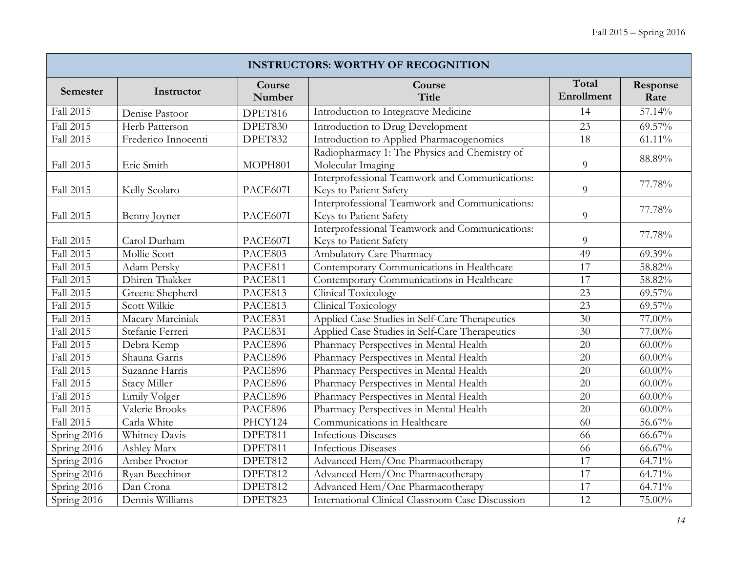| <b>INSTRUCTORS: WORTHY OF RECOGNITION</b> |                     |                  |                                                                          |                     |                  |  |  |  |
|-------------------------------------------|---------------------|------------------|--------------------------------------------------------------------------|---------------------|------------------|--|--|--|
| Semester                                  | Instructor          | Course<br>Number | Course<br>Title                                                          | Total<br>Enrollment | Response<br>Rate |  |  |  |
| Fall 2015                                 | Denise Pastoor      | DPET816          | Introduction to Integrative Medicine                                     | 14                  | 57.14%           |  |  |  |
| Fall 2015                                 | Herb Patterson      | DPET830          | Introduction to Drug Development                                         | 23                  | 69.57%           |  |  |  |
| Fall 2015                                 | Frederico Innocenti | DPET832          | Introduction to Applied Pharmacogenomics                                 | 18                  | $61.11\%$        |  |  |  |
| Fall 2015                                 | Eric Smith          | MOPH801          | Radiopharmacy 1: The Physics and Chemistry of<br>Molecular Imaging       | $\overline{9}$      | 88.89%           |  |  |  |
| Fall 2015                                 | Kelly Scolaro       | PACE607I         | Interprofessional Teamwork and Communications:<br>Keys to Patient Safety | 9                   | 77.78%           |  |  |  |
| Fall 2015                                 | Benny Joyner        | PACE607I         | Interprofessional Teamwork and Communications:<br>Keys to Patient Safety | $\overline{9}$      | 77.78%           |  |  |  |
| Fall 2015                                 | Carol Durham        | PACE607I         | Interprofessional Teamwork and Communications:<br>Keys to Patient Safety | 9                   | 77.78%           |  |  |  |
| Fall 2015                                 | <b>Mollie Scott</b> | PACE803          | Ambulatory Care Pharmacy                                                 | 49                  | $69.39\%$        |  |  |  |
| Fall 2015                                 | <b>Adam Persky</b>  | PACE811          | Contemporary Communications in Healthcare                                | $\overline{17}$     | 58.82%           |  |  |  |
| Fall 2015                                 | Dhiren Thakker      | PACE811          | Contemporary Communications in Healthcare                                | 17                  | 58.82%           |  |  |  |
| Fall 2015                                 | Greene Shepherd     | PACE813          | Clinical Toxicology                                                      | 23                  | 69.57%           |  |  |  |
| Fall 2015                                 | Scott Wilkie        | PACE813          | <b>Clinical Toxicology</b>                                               | 23                  | 69.57%           |  |  |  |
| Fall 2015                                 | Macary Marciniak    | PACE831          | Applied Case Studies in Self-Care Therapeutics                           | 30                  | $77.00\%$        |  |  |  |
| Fall 2015                                 | Stefanie Ferreri    | PACE831          | Applied Case Studies in Self-Care Therapeutics                           | 30                  | 77.00%           |  |  |  |
| Fall 2015                                 | Debra Kemp          | PACE896          | Pharmacy Perspectives in Mental Health                                   | $\overline{20}$     | $60.00\%$        |  |  |  |
| Fall 2015                                 | Shauna Garris       | PACE896          | Pharmacy Perspectives in Mental Health                                   | 20                  | $60.00\%$        |  |  |  |
| Fall 2015                                 | Suzanne Harris      | PACE896          | Pharmacy Perspectives in Mental Health                                   | 20                  | $60.00\%$        |  |  |  |
| Fall 2015                                 | <b>Stacy Miller</b> | PACE896          | Pharmacy Perspectives in Mental Health                                   | 20                  | $60.00\%$        |  |  |  |
| Fall 2015                                 | Emily Volger        | PACE896          | Pharmacy Perspectives in Mental Health                                   | 20                  | $60.00\%$        |  |  |  |
| Fall 2015                                 | Valerie Brooks      | PACE896          | Pharmacy Perspectives in Mental Health                                   | 20                  | $60.00\%$        |  |  |  |
| Fall 2015                                 | Carla White         | PHCY124          | Communications in Healthcare                                             | 60                  | 56.67%           |  |  |  |
| Spring 2016                               | Whitney Davis       | DPET811          | <b>Infectious Diseases</b>                                               | 66                  | $66.67\%$        |  |  |  |
| Spring 2016                               | Ashley Marx         | DPET811          | <b>Infectious Diseases</b>                                               | 66                  | $66.67\%$        |  |  |  |
| Spring 2016                               | Amber Proctor       | DPET812          | Advanced Hem/Onc Pharmacotherapy                                         | 17                  | 64.71%           |  |  |  |
| Spring 2016                               | Ryan Beechinor      | DPET812          | Advanced Hem/Onc Pharmacotherapy                                         | 17                  | 64.71%           |  |  |  |
| Spring 2016                               | Dan Crona           | DPET812          | Advanced Hem/Onc Pharmacotherapy                                         | 17                  | 64.71%           |  |  |  |
| Spring 2016                               | Dennis Williams     | DPET823          | International Clinical Classroom Case Discussion                         | 12                  | 75.00%           |  |  |  |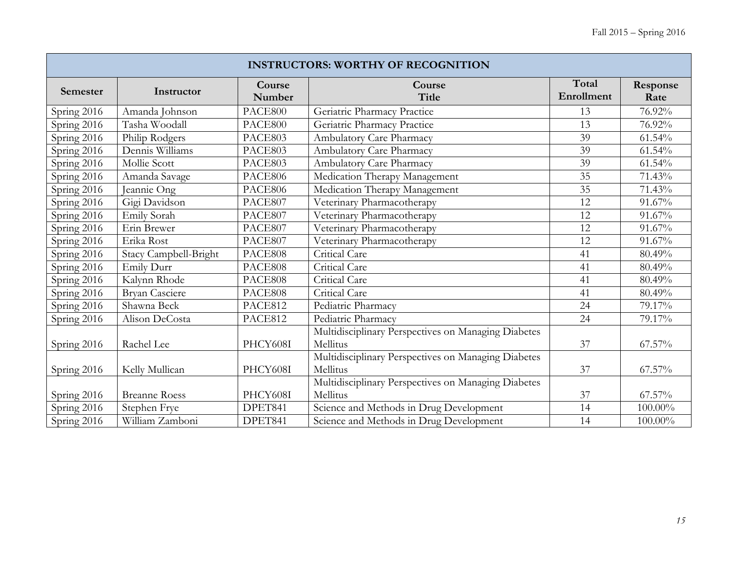| <b>INSTRUCTORS: WORTHY OF RECOGNITION</b> |                       |                  |                                                     |                     |                  |  |  |  |
|-------------------------------------------|-----------------------|------------------|-----------------------------------------------------|---------------------|------------------|--|--|--|
| Semester                                  | Instructor            | Course<br>Number | Course<br>Title                                     | Total<br>Enrollment | Response<br>Rate |  |  |  |
| Spring 2016                               | Amanda Johnson        | PACE800          | Geriatric Pharmacy Practice                         | 13                  | 76.92%           |  |  |  |
| Spring 2016                               | Tasha Woodall         | PACE800          | Geriatric Pharmacy Practice                         | 13                  | 76.92%           |  |  |  |
| Spring 2016                               | Philip Rodgers        | PACE803          | Ambulatory Care Pharmacy                            | 39                  | 61.54%           |  |  |  |
| Spring 2016                               | Dennis Williams       | PACE803          | Ambulatory Care Pharmacy                            | 39                  | 61.54%           |  |  |  |
| Spring 2016                               | Mollie Scott          | PACE803          | Ambulatory Care Pharmacy                            | 39                  | 61.54%           |  |  |  |
| Spring 2016                               | Amanda Savage         | PACE806          | Medication Therapy Management                       | 35                  | 71.43%           |  |  |  |
| Spring 2016                               | Jeannie Ong           | PACE806          | Medication Therapy Management                       | 35                  | 71.43%           |  |  |  |
| Spring 2016                               | Gigi Davidson         | PACE807          | Veterinary Pharmacotherapy                          | 12                  | 91.67%           |  |  |  |
| Spring 2016                               | Emily Sorah           | PACE807          | Veterinary Pharmacotherapy                          | 12                  | 91.67%           |  |  |  |
| Spring 2016                               | Erin Brewer           | PACE807          | Veterinary Pharmacotherapy                          | 12                  | 91.67%           |  |  |  |
| Spring 2016                               | Erika Rost            | PACE807          | Veterinary Pharmacotherapy                          | 12                  | 91.67%           |  |  |  |
| Spring 2016                               | Stacy Campbell-Bright | PACE808          | Critical Care                                       | 41                  | 80.49%           |  |  |  |
| Spring 2016                               | Emily Durr            | PACE808          | Critical Care                                       | 41                  | 80.49%           |  |  |  |
| Spring 2016                               | Kalynn Rhode          | PACE808          | Critical Care                                       | 41                  | 80.49%           |  |  |  |
| Spring 2016                               | Bryan Casciere        | PACE808          | Critical Care                                       | 41                  | 80.49%           |  |  |  |
| Spring 2016                               | Shawna Beck           | PACE812          | Pediatric Pharmacy                                  | 24                  | 79.17%           |  |  |  |
| Spring 2016                               | Alison DeCosta        | PACE812          | Pediatric Pharmacy                                  | 24                  | 79.17%           |  |  |  |
|                                           |                       |                  | Multidisciplinary Perspectives on Managing Diabetes |                     |                  |  |  |  |
| Spring 2016                               | Rachel Lee            | PHCY608I         | Mellitus                                            | 37                  | 67.57%           |  |  |  |
|                                           |                       |                  | Multidisciplinary Perspectives on Managing Diabetes |                     |                  |  |  |  |
| Spring 2016                               | Kelly Mullican        | PHCY608I         | Mellitus                                            | 37                  | 67.57%           |  |  |  |
|                                           |                       |                  | Multidisciplinary Perspectives on Managing Diabetes |                     |                  |  |  |  |
| Spring 2016                               | <b>Breanne Roess</b>  | PHCY608I         | Mellitus                                            | 37                  | 67.57%           |  |  |  |
| Spring 2016                               | Stephen Frye          | DPET841          | Science and Methods in Drug Development             | 14                  | $100.00\%$       |  |  |  |
| Spring 2016                               | William Zamboni       | DPET841          | Science and Methods in Drug Development             | 14                  | 100.00%          |  |  |  |